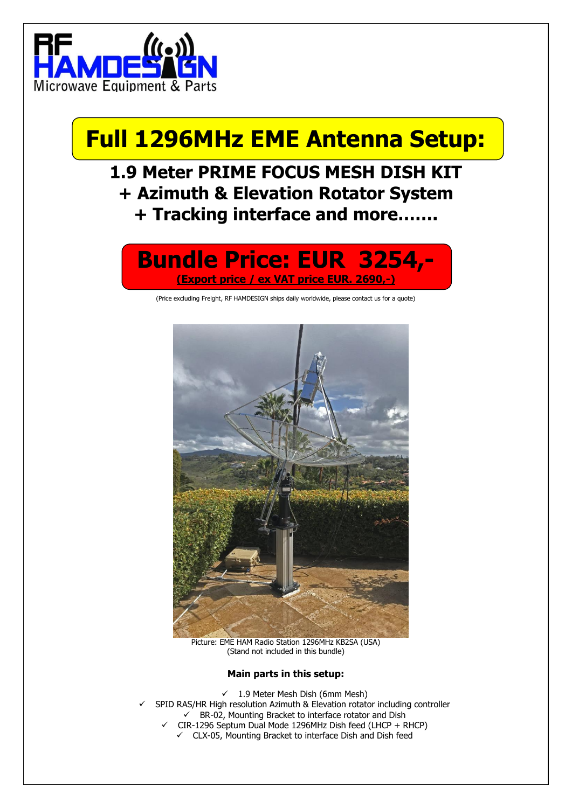

# **Full 1296MHz EME Antenna Setup:**

### **1.9 Meter PRIME FOCUS MESH DISH KIT + Azimuth & Elevation Rotator System + Tracking interface and more…….**

### **Bundle Price: EUR 3254,- (Export price / ex VAT price EUR. 2690,-)**

(Price excluding Freight, RF HAMDESIGN ships daily worldwide, please contact us for a quote)



Picture: EME HAM Radio Station 1296MHz KB2SA (USA) (Stand not included in this bundle)

#### **Main parts in this setup:**

- $\checkmark$  1.9 Meter Mesh Dish (6mm Mesh)
- SPID RAS/HR High resolution Azimuth & Elevation rotator including controller ✓ BR-02, Mounting Bracket to interface rotator and Dish
	- ✓ CIR-1296 Septum Dual Mode 1296MHz Dish feed (LHCP + RHCP)
	- ✓ CLX-05, Mounting Bracket to interface Dish and Dish feed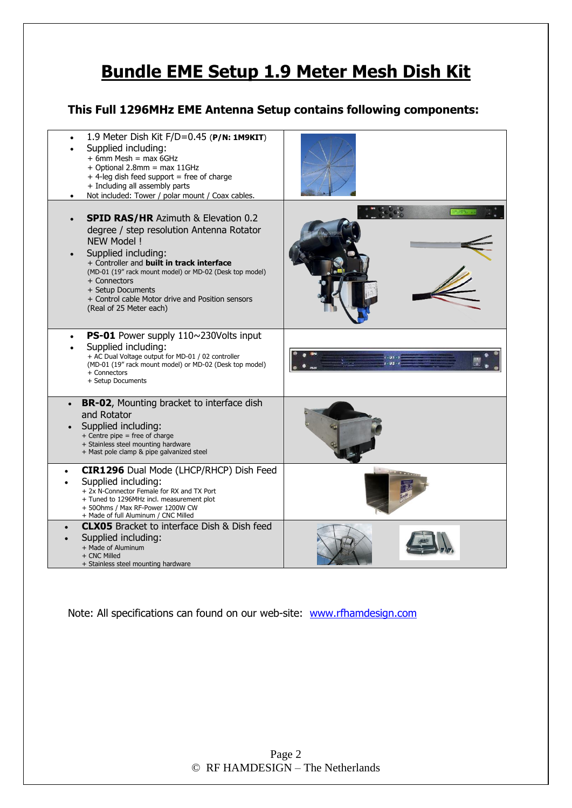### **Bundle EME Setup 1.9 Meter Mesh Dish Kit**

### **This Full 1296MHz EME Antenna Setup contains following components:**



Note: All specifications can found on our web-site: [www.rfhamdesign.com](http://www.rfhamdesign.com/)